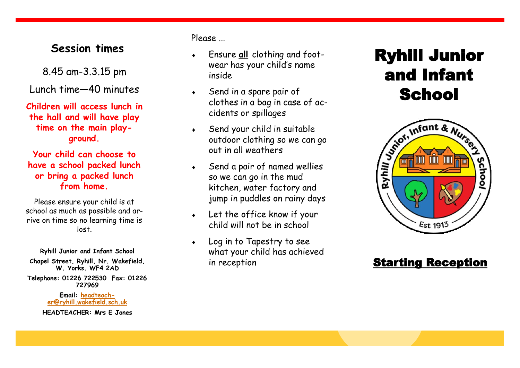## **Session times**

8.45 am-3.3.15 pm

Lunch time—40 minutes

### **Children will access lunch in the hall and will have play time on the main playground.**

**Your child can choose to have a school packed lunch or bring a packed lunch from home.** 

Please ensure your child is at school as much as possible and arrive on time so no learning time is lost.

**Ryhill Junior and Infant School Chapel Street, Ryhill, Nr. Wakefield, W. Yorks. WF4 2AD Telephone: 01226 722530 Fax: 01226** 

**727969**

#### **Email: [headteach](mailto:headteacher@ryhill.wakefield.sch.uk)[er@ryhill.wakefield.sch.uk](mailto:headteacher@ryhill.wakefield.sch.uk)**

**HEADTEACHER: Mrs E Jones**

Please ...

- Ensure **all** clothing and footwear has your child's name inside
- Send in a spare pair of clothes in a bag in case of accidents or spillages
- Send your child in suitable outdoor clothing so we can go out in all weathers
- Send a pair of named wellies so we can go in the mud kitchen, water factory and jump in puddles on rainy days
- Let the office know if your child will not be in school
- Log in to Tapestry to see what your child has achieved in reception

# Ryhill Junior and Infant **School**



# **Starting Reception**